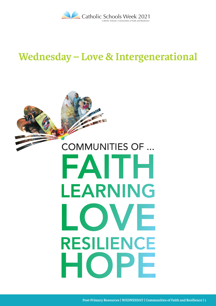

## **Wednesday – Love & Intergenerational**

# FAITH LEARNING LOVE RESILIENCE HOPE COMMUNITIES OF ...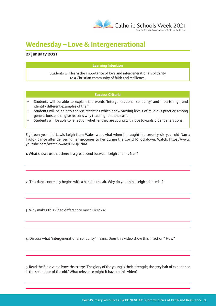

### **Wednesday – Love & Intergenerational**

#### **27 January 2021**

#### **Learning Intention**

Students will learn the importance of love and intergenerational solidarity to a Christian community of faith and resilience.

#### **Success Criteria**

- Students will be able to explain the words 'intergenerational solidarity' and 'flourishing', and identify different examples of them.
- Students will be able to analyse statistics which show varying levels of religious practice among generations and to give reasons why that might be the case.
- Students will be able to reflect on whether they are acting with love towards older generations.

Eighteen-year-old Lewis Leigh from Wales went viral when he taught his seventy-six-year-old Nan a TikTok dance after delivering her groceries to her during the Covid 19 lockdown. Watch: https://www. youtube.com/watch?v=aA7HNHjGNnA

1. What shows us that there is a great bond between Leigh and his Nan?

2. This dance normally begins with a hand in the air. Why do you think Leigh adapted it?

3. Why makes this video different to most TikToks?

4. Discuss what 'intergenerational solidarity' means. Does this video show this in action? How?

5. Read the Bible verse Proverbs 20:29: 'The glory of the young is their strength; the grey hair of experience is the splendour of the old.' What relevance might it have to this video?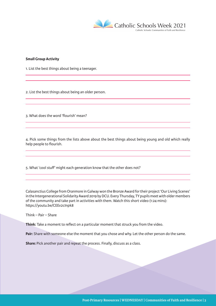

#### **Small Group Activity**

1. List the best things about being a teenager.

2. List the best things about being an older person.

3. What does the word 'flourish' mean?

4. Pick some things from the lists above about the best things about being young and old which really help people to flourish.

5. What 'cool stuff' might each generation know that the other does not?

Calasanctius College from Oranmore in Galway won the Bronze Award for their project 'Our Living Scenes' in the Intergenerational Solidarity Award 2019 by DCU. Every Thursday, TY pupils meet with older members of the community and take part in activities with them. Watch this short video (1:24 mins): https://youtu.be/CEEv2cInpk8

Think – Pair – Share

**Think:** Take a moment to reflect on a particular moment that struck you from the video.

**Pair:** Share with someone else the moment that you chose and why. Let the other person do the same.

**Share:** Pick another pair and repeat the process. Finally, discuss as a class.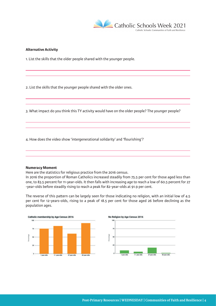

#### **Alternative Activity**

1. List the skills that the older people shared with the younger people.

2. List the skills that the younger people shared with the older ones.

3. What impact do you think this TY activity would have on the older people? The younger people?

4. How does the video show 'intergenerational solidarity' and 'flourishing'?

#### **Numeracy Moment**

Here are the statistics for religious practice from the 2016 census.

In 2016 the proportion of Roman Catholics increased steadily from 75.5 per cent for those aged less than one, to 83.5 percent for 11-year-olds. It then falls with increasing age to reach a low of 60.5 percent for 27 -year-olds before steadily rising to reach a peak for 82-year-olds at 91.9 per cent.

The reverse of this pattern can be largely seen for those indicating no religion, with an initial low of 4.5 per cent for 12-years-olds, rising to a peak of 18.5 per cent for those aged 26 before declining as the population ages.

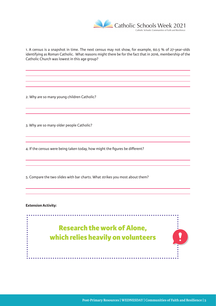

1. A census is a snapshot in time. The next census may not show, for example, 60.5 % of 27-year-olds identifying as Roman Catholic. What reasons might there be for the fact that in 2016, membership of the Catholic Church was lowest in this age group?

2. Why are so many young children Catholic?

3. Why are so many older people Catholic?

4. If the census were being taken today, how might the figures be different?

5. Compare the two slides with bar charts. What strikes you most about them?

**Extension Activity:** 

 $\cdots$ **Research the work of Alone, which relies heavily on volunteers**